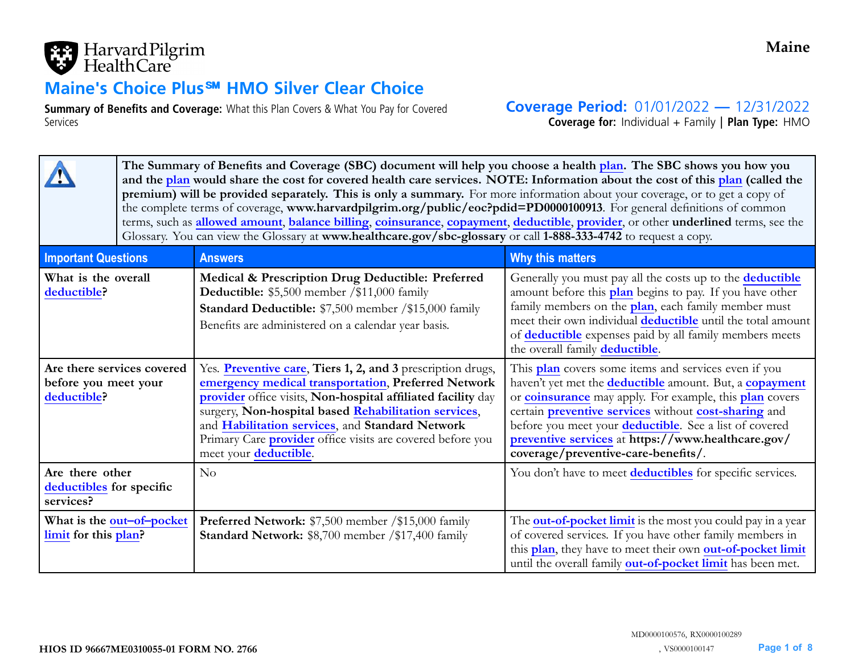

# **Maine's Choice Plus**℠ **HMO Silver Clear Choice**

**Summary of Benefits and Coverage:** What this Plan Covers & What You Pay for Covered Services

**Coverage Period:** 01/01/2022 **—** 12/31/2022

**Coverage for:** Individual <sup>+</sup> Family | **Plan Type:** HMO

|                                                                   | The Summary of Benefits and Coverage (SBC) document will help you choose a health plan. The SBC shows you how you<br>and the plan would share the cost for covered health care services. NOTE: Information about the cost of this plan (called the<br>premium) will be provided separately. This is only a summary. For more information about your coverage, or to get a copy of<br>the complete terms of coverage, www.harvardpilgrim.org/public/eoc?pdid=PD0000100913. For general definitions of common<br>terms, such as allowed amount, balance billing, coinsurance, copayment, deductible, provider, or other underlined terms, see the<br>Glossary. You can view the Glossary at www.healthcare.gov/sbc-glossary or call 1-888-333-4742 to request a copy. |                                                                                                                                                                                                                                                                                                                                                                                             |                                                                                                                                                                                                                                                                                                                                                                                                                       |  |  |  |  |
|-------------------------------------------------------------------|---------------------------------------------------------------------------------------------------------------------------------------------------------------------------------------------------------------------------------------------------------------------------------------------------------------------------------------------------------------------------------------------------------------------------------------------------------------------------------------------------------------------------------------------------------------------------------------------------------------------------------------------------------------------------------------------------------------------------------------------------------------------|---------------------------------------------------------------------------------------------------------------------------------------------------------------------------------------------------------------------------------------------------------------------------------------------------------------------------------------------------------------------------------------------|-----------------------------------------------------------------------------------------------------------------------------------------------------------------------------------------------------------------------------------------------------------------------------------------------------------------------------------------------------------------------------------------------------------------------|--|--|--|--|
| <b>Important Questions</b>                                        |                                                                                                                                                                                                                                                                                                                                                                                                                                                                                                                                                                                                                                                                                                                                                                     | <b>Answers</b>                                                                                                                                                                                                                                                                                                                                                                              | Why this matters                                                                                                                                                                                                                                                                                                                                                                                                      |  |  |  |  |
| What is the overall<br>deductible?                                |                                                                                                                                                                                                                                                                                                                                                                                                                                                                                                                                                                                                                                                                                                                                                                     | Medical & Prescription Drug Deductible: Preferred<br>Deductible: \$5,500 member /\$11,000 family<br>Standard Deductible: \$7,500 member /\$15,000 family<br>Benefits are administered on a calendar year basis.                                                                                                                                                                             | Generally you must pay all the costs up to the <b>deductible</b><br>amount before this plan begins to pay. If you have other<br>family members on the plan, each family member must<br>meet their own individual <b>deductible</b> until the total amount<br>of <b>deductible</b> expenses paid by all family members meets<br>the overall family deductible.                                                         |  |  |  |  |
| Are there services covered<br>before you meet your<br>deductible? |                                                                                                                                                                                                                                                                                                                                                                                                                                                                                                                                                                                                                                                                                                                                                                     | Yes. Preventive care, Tiers 1, 2, and 3 prescription drugs,<br>emergency medical transportation, Preferred Network<br>provider office visits, Non-hospital affiliated facility day<br>surgery, Non-hospital based Rehabilitation services,<br>and Habilitation services, and Standard Network<br>Primary Care <i>provider</i> office visits are covered before you<br>meet your deductible. | This plan covers some items and services even if you<br>haven't yet met the <b>deductible</b> amount. But, a <b>copayment</b><br>or <b>coinsurance</b> may apply. For example, this <b>plan</b> covers<br>certain preventive services without cost-sharing and<br>before you meet your deductible. See a list of covered<br>preventive services at https://www.healthcare.gov/<br>coverage/preventive-care-benefits/. |  |  |  |  |
| Are there other<br>deductibles for specific<br>services?          |                                                                                                                                                                                                                                                                                                                                                                                                                                                                                                                                                                                                                                                                                                                                                                     | No                                                                                                                                                                                                                                                                                                                                                                                          | You don't have to meet <b>deductibles</b> for specific services.                                                                                                                                                                                                                                                                                                                                                      |  |  |  |  |
| What is the out-of-pocket<br>limit for this plan?                 |                                                                                                                                                                                                                                                                                                                                                                                                                                                                                                                                                                                                                                                                                                                                                                     | Preferred Network: \$7,500 member /\$15,000 family<br><b>Standard Network: \$8,700 member /\$17,400 family</b>                                                                                                                                                                                                                                                                              | The <b>out-of-pocket limit</b> is the most you could pay in a year<br>of covered services. If you have other family members in<br>this plan, they have to meet their own out-of-pocket limit<br>until the overall family out-of-pocket limit has been met.                                                                                                                                                            |  |  |  |  |

**Maine**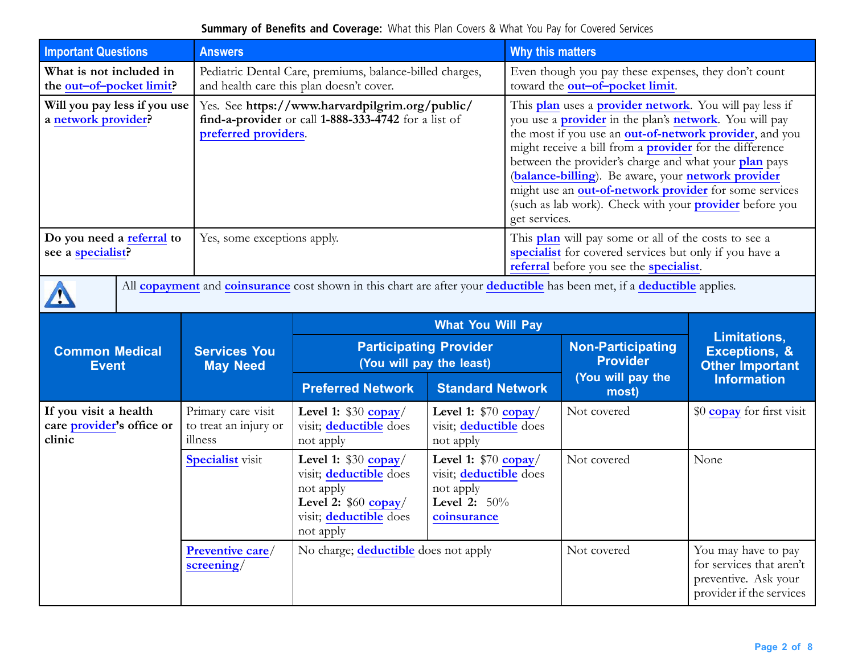| <b>Important Questions</b>                                                                                                                                                                                                                        | <b>Answers</b>                                                                                                          |                                                                                                                                 |                                                                                                       | Why this matters                                                                                                                                                                                                                                                                                                                                                                                                                                                                                                          |                                                                                         |                                                    |
|---------------------------------------------------------------------------------------------------------------------------------------------------------------------------------------------------------------------------------------------------|-------------------------------------------------------------------------------------------------------------------------|---------------------------------------------------------------------------------------------------------------------------------|-------------------------------------------------------------------------------------------------------|---------------------------------------------------------------------------------------------------------------------------------------------------------------------------------------------------------------------------------------------------------------------------------------------------------------------------------------------------------------------------------------------------------------------------------------------------------------------------------------------------------------------------|-----------------------------------------------------------------------------------------|----------------------------------------------------|
| What is not included in<br>the out-of-pocket limit?                                                                                                                                                                                               |                                                                                                                         | Pediatric Dental Care, premiums, balance-billed charges,<br>and health care this plan doesn't cover.                            |                                                                                                       |                                                                                                                                                                                                                                                                                                                                                                                                                                                                                                                           | Even though you pay these expenses, they don't count<br>toward the out-of-pocket limit. |                                                    |
| Will you pay less if you use<br>a network provider?                                                                                                                                                                                               |                                                                                                                         | Yes. See https://www.harvardpilgrim.org/public/<br>find-a-provider or call 1-888-333-4742 for a list of<br>preferred providers. |                                                                                                       | This plan uses a provider network. You will pay less if<br>you use a <b>provider</b> in the plan's <b>network</b> . You will pay<br>the most if you use an out-of-network provider, and you<br>might receive a bill from a <b>provider</b> for the difference<br>between the provider's charge and what your plan pays<br>(balance-billing). Be aware, your network provider<br>might use an out-of-network provider for some services<br>(such as lab work). Check with your <b>provider</b> before you<br>get services. |                                                                                         |                                                    |
| Do you need a referral to<br>This <b>plan</b> will pay some or all of the costs to see a<br>Yes, some exceptions apply.<br>specialist for covered services but only if you have a<br>see a specialist?<br>referral before you see the specialist. |                                                                                                                         |                                                                                                                                 |                                                                                                       |                                                                                                                                                                                                                                                                                                                                                                                                                                                                                                                           |                                                                                         |                                                    |
|                                                                                                                                                                                                                                                   | All copayment and coinsurance cost shown in this chart are after your deductible has been met, if a deductible applies. |                                                                                                                                 |                                                                                                       |                                                                                                                                                                                                                                                                                                                                                                                                                                                                                                                           |                                                                                         |                                                    |
|                                                                                                                                                                                                                                                   |                                                                                                                         |                                                                                                                                 | <b>What You Will Pay</b>                                                                              |                                                                                                                                                                                                                                                                                                                                                                                                                                                                                                                           |                                                                                         | <b>Limitations,</b>                                |
| <b>Common Medical</b><br><b>Event</b>                                                                                                                                                                                                             | <b>Services You</b><br><b>May Need</b>                                                                                  | <b>Participating Provider</b><br>(You will pay the least)                                                                       |                                                                                                       |                                                                                                                                                                                                                                                                                                                                                                                                                                                                                                                           | <b>Non-Participating</b><br><b>Provider</b>                                             | <b>Exceptions, &amp;</b><br><b>Other Important</b> |
|                                                                                                                                                                                                                                                   |                                                                                                                         | <b>Preferred Network</b>                                                                                                        | <b>Standard Network</b>                                                                               |                                                                                                                                                                                                                                                                                                                                                                                                                                                                                                                           | (You will pay the<br>most)                                                              | <b>Information</b>                                 |
| If you visit a health<br>care provider's office or<br>clinic                                                                                                                                                                                      | Primary care visit<br>to treat an injury or<br>illness                                                                  | Level 1: $$30$ copay/<br>visit; deductible does<br>not apply                                                                    | Level 1: $$70$ copay/<br>visit; deductible does<br>not apply                                          |                                                                                                                                                                                                                                                                                                                                                                                                                                                                                                                           | Not covered                                                                             | \$0 copay for first visit                          |
|                                                                                                                                                                                                                                                   | <b>Specialist visit</b>                                                                                                 | Level 1: $$30$ copay/<br>visit; deductible does<br>not apply<br>Level 2: $$60$ copay/<br>visit; deductible does<br>not apply    | Level 1: $$70$ copay/<br>visit; deductible does<br>not apply<br><b>Level 2:</b> $50\%$<br>coinsurance |                                                                                                                                                                                                                                                                                                                                                                                                                                                                                                                           | Not covered                                                                             | None                                               |
| No charge; <b>deductible</b> does not apply<br>Preventive care/<br>screening/                                                                                                                                                                     |                                                                                                                         |                                                                                                                                 | Not covered                                                                                           | You may have to pay<br>for services that aren't<br>preventive. Ask your<br>provider if the services                                                                                                                                                                                                                                                                                                                                                                                                                       |                                                                                         |                                                    |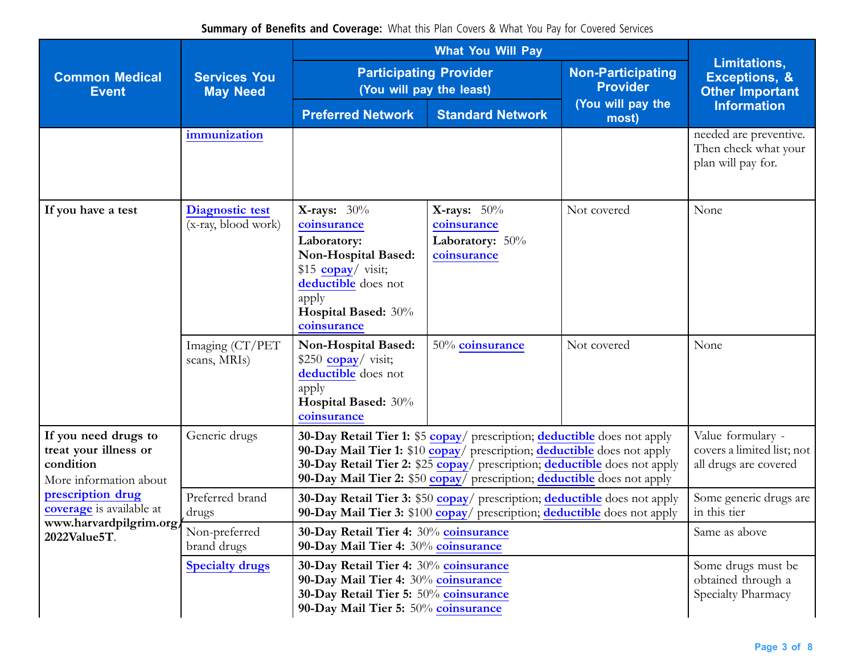| <b>Common Medical</b><br><b>Event</b>                                                | <b>Services You</b><br><b>May Need</b>        |                                                                                                                                                                                                                                                                                                             | <b>Participating Provider</b><br>(You will pay the least)                    | <b>Non-Participating</b><br><b>Provider</b><br>(You will pay the<br>most) | Limitations,<br><b>Exceptions, &amp;</b><br><b>Other Important</b><br><b>Information</b> |  |  |
|--------------------------------------------------------------------------------------|-----------------------------------------------|-------------------------------------------------------------------------------------------------------------------------------------------------------------------------------------------------------------------------------------------------------------------------------------------------------------|------------------------------------------------------------------------------|---------------------------------------------------------------------------|------------------------------------------------------------------------------------------|--|--|
|                                                                                      |                                               | <b>Preferred Network</b>                                                                                                                                                                                                                                                                                    | <b>Standard Network</b>                                                      |                                                                           |                                                                                          |  |  |
|                                                                                      | immunization                                  |                                                                                                                                                                                                                                                                                                             |                                                                              |                                                                           | needed are preventive.<br>Then check what your<br>plan will pay for.                     |  |  |
| If you have a test                                                                   | <b>Diagnostic test</b><br>(x-ray, blood work) | <b>X-rays:</b> $30\%$<br>coinsurance<br>Laboratory:<br>Non-Hospital Based:<br>\$15 $\frac{\text{copy}}{\text{visit}}$ ;<br>deductible does not<br>apply<br>Hospital Based: 30%<br>coinsurance                                                                                                               | X-rays: $50\%$<br>coinsurance<br>Laboratory: $50\%$<br>coinsurance           | Not covered                                                               | None                                                                                     |  |  |
|                                                                                      | Imaging (CT/PET<br>scans, MRIs)               | Non-Hospital Based:<br>\$250 $\frac{\text{copy}}{\text{visit}}$ ;<br>deductible does not<br>apply<br>Hospital Based: 30%<br>coinsurance                                                                                                                                                                     | 50% coinsurance                                                              | Not covered                                                               | None                                                                                     |  |  |
| If you need drugs to<br>treat your illness or<br>condition<br>More information about | Generic drugs                                 | 30-Day Retail Tier 1: \$5 copay/ prescription; deductible does not apply<br>90-Day Mail Tier 1: \$10 copay/ prescription; deductible does not apply<br>30-Day Retail Tier 2: \$25 copay/ prescription; deductible does not apply<br>90-Day Mail Tier 2: \$50 copay/ prescription; deductible does not apply | Value formulary -<br>covers a limited list; not<br>all drugs are covered     |                                                                           |                                                                                          |  |  |
| prescription drug<br><b>coverage</b> is available at                                 | Preferred brand<br>drugs                      | <b>30-Day Retail Tier 3: \$50 copay</b> / prescription; <b>deductible</b> does not apply<br>90-Day Mail Tier 3: \$100 copay/ prescription; deductible does not apply                                                                                                                                        | Some generic drugs are<br>in this tier                                       |                                                                           |                                                                                          |  |  |
| www.harvardpilgrim.org/<br>2022Value5T.                                              | Non-preferred<br>brand drugs                  |                                                                                                                                                                                                                                                                                                             | 30-Day Retail Tier 4: 30% coinsurance<br>90-Day Mail Tier 4: 30% coinsurance |                                                                           |                                                                                          |  |  |
|                                                                                      | <b>Specialty drugs</b>                        | 30-Day Retail Tier 4: 30% coinsurance<br>90-Day Mail Tier 4: 30% coinsurance<br>30-Day Retail Tier 5: 50% coinsurance<br>90-Day Mail Tier 5: 50% coinsurance                                                                                                                                                | Some drugs must be<br>obtained through a<br>Specialty Pharmacy               |                                                                           |                                                                                          |  |  |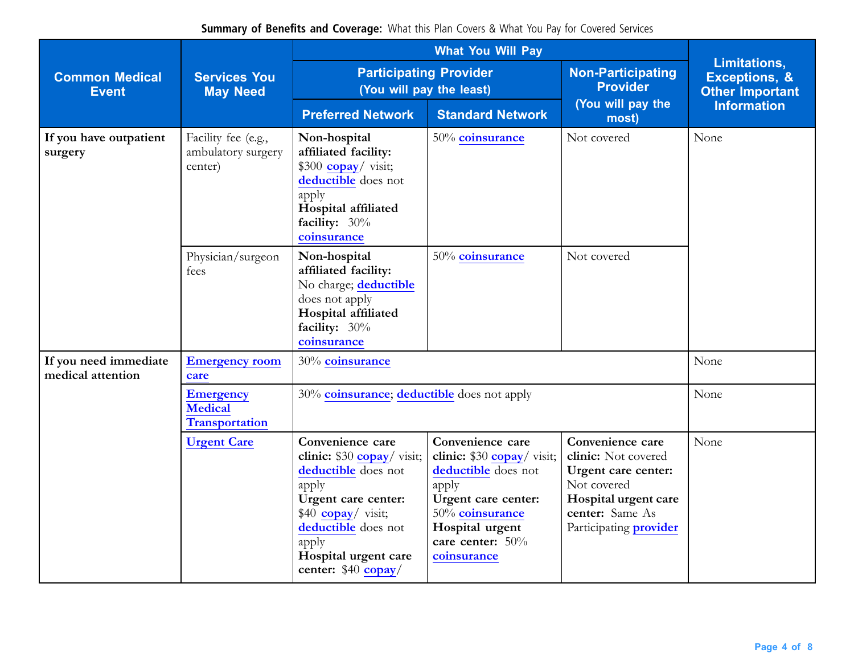| <b>Common Medical</b><br><b>Event</b>      | <b>Services You</b><br><b>May Need</b>                      | <b>Participating Provider</b><br>(You will pay the least)                                                                                                                                                     |                                                                                                                                                                                  | <b>Non-Participating</b><br><b>Provider</b><br>(You will pay the<br>most)                                                                                 | Limitations,<br><b>Exceptions, &amp;</b><br><b>Other Important</b><br><b>Information</b> |
|--------------------------------------------|-------------------------------------------------------------|---------------------------------------------------------------------------------------------------------------------------------------------------------------------------------------------------------------|----------------------------------------------------------------------------------------------------------------------------------------------------------------------------------|-----------------------------------------------------------------------------------------------------------------------------------------------------------|------------------------------------------------------------------------------------------|
|                                            |                                                             | <b>Preferred Network</b>                                                                                                                                                                                      | <b>Standard Network</b>                                                                                                                                                          |                                                                                                                                                           |                                                                                          |
| If you have outpatient<br>surgery          | Facility fee (e.g.,<br>ambulatory surgery<br>center)        | Non-hospital<br>affiliated facility:<br>$$300$ copay/ visit;<br>deductible does not<br>apply<br>Hospital affiliated<br>facility: $30\%$<br>coinsurance                                                        | 50% coinsurance                                                                                                                                                                  | Not covered                                                                                                                                               | None                                                                                     |
|                                            | Physician/surgeon<br>fees                                   | Non-hospital<br>affiliated facility:<br>No charge; deductible<br>does not apply<br>Hospital affiliated<br>facility: 30%<br>coinsurance                                                                        | 50% coinsurance                                                                                                                                                                  | Not covered                                                                                                                                               |                                                                                          |
| If you need immediate<br>medical attention | <b>Emergency room</b><br>care                               | 30% coinsurance                                                                                                                                                                                               |                                                                                                                                                                                  |                                                                                                                                                           | None                                                                                     |
|                                            | <b>Emergency</b><br><b>Medical</b><br><b>Transportation</b> | 30% coinsurance; deductible does not apply                                                                                                                                                                    |                                                                                                                                                                                  |                                                                                                                                                           | None                                                                                     |
|                                            | <b>Urgent Care</b>                                          | Convenience care<br>clinic: $$30$ copay/ visit;<br>deductible does not<br>apply<br>Urgent care center:<br>$$40$ copay/ visit;<br>deductible does not<br>apply<br>Hospital urgent care<br>center: $$40$ copay/ | Convenience care<br>clinic: \$30 copay/visit;<br>deductible does not<br>apply<br>Urgent care center:<br>50% coinsurance<br>Hospital urgent<br>care center: $50\%$<br>coinsurance | Convenience care<br>clinic: Not covered<br>Urgent care center:<br>Not covered<br>Hospital urgent care<br>center: Same As<br>Participating <b>provider</b> | None                                                                                     |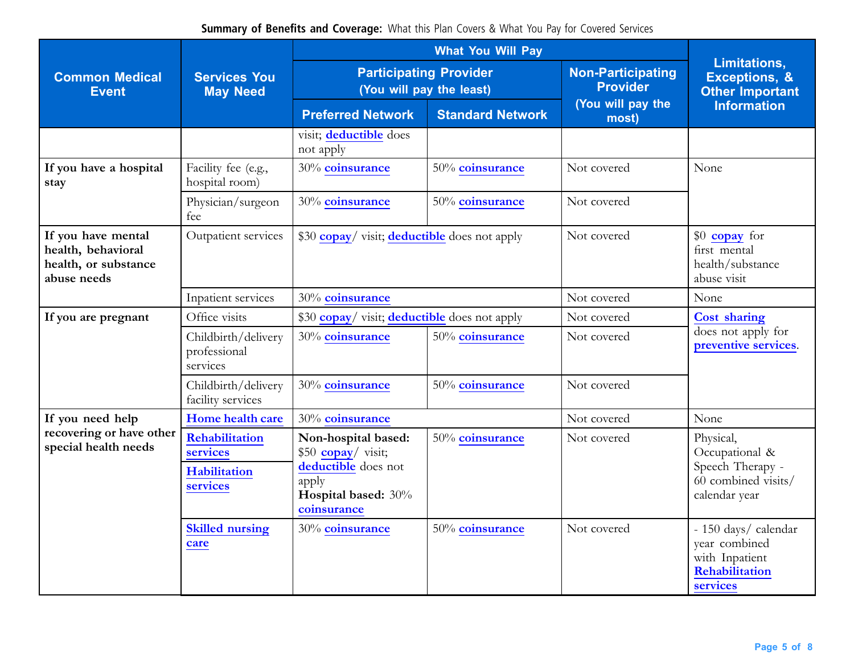|                                                                                 | <b>Services You</b><br><b>May Need</b>                        |                                                                                                                                |                         |                                             |                                                                                         |
|---------------------------------------------------------------------------------|---------------------------------------------------------------|--------------------------------------------------------------------------------------------------------------------------------|-------------------------|---------------------------------------------|-----------------------------------------------------------------------------------------|
| <b>Common Medical</b><br><b>Event</b>                                           |                                                               | <b>Participating Provider</b><br>(You will pay the least)                                                                      |                         | <b>Non-Participating</b><br><b>Provider</b> | Limitations,<br><b>Exceptions, &amp;</b><br><b>Other Important</b>                      |
|                                                                                 |                                                               | <b>Preferred Network</b>                                                                                                       | <b>Standard Network</b> | (You will pay the<br>most)                  | <b>Information</b>                                                                      |
|                                                                                 |                                                               | visit; deductible does<br>not apply                                                                                            |                         |                                             |                                                                                         |
| If you have a hospital<br>stay                                                  | Facility fee (e.g.,<br>hospital room)                         | 30% coinsurance                                                                                                                | 50% coinsurance         | Not covered                                 | None                                                                                    |
|                                                                                 | Physician/surgeon<br>fee                                      | 30% coinsurance                                                                                                                | 50% coinsurance         | Not covered                                 |                                                                                         |
| If you have mental<br>health, behavioral<br>health, or substance<br>abuse needs | Outpatient services                                           | \$30 copay/ visit; deductible does not apply                                                                                   |                         | Not covered                                 | \$0 copay for<br>first mental<br>health/substance<br>abuse visit                        |
|                                                                                 | Inpatient services                                            | 30% coinsurance                                                                                                                |                         | Not covered                                 | None                                                                                    |
| If you are pregnant                                                             | Office visits                                                 | \$30 copay/ visit; deductible does not apply                                                                                   |                         | Not covered                                 | <b>Cost sharing</b>                                                                     |
|                                                                                 | Childbirth/delivery<br>professional<br>services               | 30% coinsurance                                                                                                                | 50% coinsurance         | Not covered                                 | does not apply for<br>preventive services.                                              |
|                                                                                 | Childbirth/delivery<br>facility services                      | 30% coinsurance                                                                                                                | 50% coinsurance         | Not covered                                 |                                                                                         |
| If you need help                                                                | Home health care                                              | 30% coinsurance                                                                                                                |                         | Not covered                                 | None                                                                                    |
| recovering or have other<br>special health needs                                | Rehabilitation<br>services<br><b>Habilitation</b><br>services | Non-hospital based:<br>\$50 $\text{copay}/\text{visit};$<br>deductible does not<br>apply<br>Hospital based: 30%<br>coinsurance | 50% coinsurance         | Not covered                                 | Physical,<br>Occupational &<br>Speech Therapy -<br>60 combined visits/<br>calendar year |
|                                                                                 | <b>Skilled nursing</b><br>care                                | 30% coinsurance                                                                                                                | 50% coinsurance         | Not covered                                 | - 150 days/ calendar<br>year combined<br>with Inpatient<br>Rehabilitation<br>services   |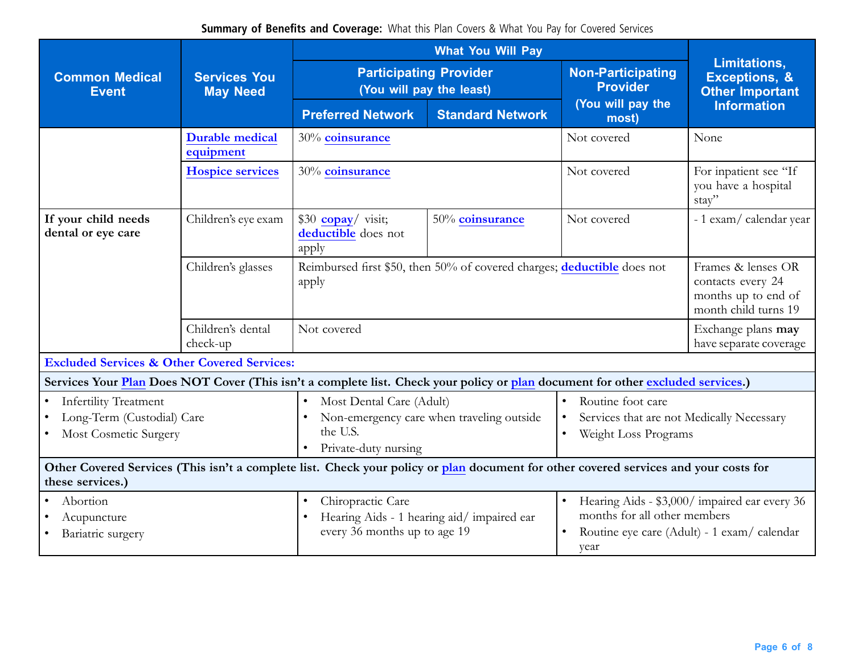**Summary of Benefits and Coverage:** What this Plan Covers & What You Pay for Covered Services

| <b>Common Medical</b><br><b>Event</b>                                                                                                                    | <b>Services You</b><br><b>May Need</b> | <b>Participating Provider</b><br>(You will pay the least)                                                                                                                                                                                                            |                                                                         | <b>Non-Participating</b><br><b>Provider</b> | <b>Limitations,</b><br><b>Exceptions, &amp;</b><br><b>Other Important</b>              |
|----------------------------------------------------------------------------------------------------------------------------------------------------------|----------------------------------------|----------------------------------------------------------------------------------------------------------------------------------------------------------------------------------------------------------------------------------------------------------------------|-------------------------------------------------------------------------|---------------------------------------------|----------------------------------------------------------------------------------------|
|                                                                                                                                                          |                                        | <b>Preferred Network</b>                                                                                                                                                                                                                                             | <b>Standard Network</b>                                                 | (You will pay the<br>most)                  | <b>Information</b>                                                                     |
|                                                                                                                                                          | <b>Durable medical</b><br>equipment    | 30% coinsurance                                                                                                                                                                                                                                                      |                                                                         | Not covered                                 | None                                                                                   |
|                                                                                                                                                          | <b>Hospice services</b>                | 30% coinsurance                                                                                                                                                                                                                                                      |                                                                         | Not covered                                 | For inpatient see "If<br>you have a hospital<br>stay"                                  |
| If your child needs<br>dental or eye care                                                                                                                | Children's eye exam                    | $$30$ copay/ visit;<br>deductible does not<br>apply                                                                                                                                                                                                                  | 50% coinsurance                                                         | Not covered                                 | - 1 exam/ calendar year                                                                |
|                                                                                                                                                          | Children's glasses                     | apply                                                                                                                                                                                                                                                                | Reimbursed first \$50, then 50% of covered charges; deductible does not |                                             | Frames & lenses OR<br>contacts every 24<br>months up to end of<br>month child turns 19 |
|                                                                                                                                                          | Children's dental<br>check-up          | Not covered                                                                                                                                                                                                                                                          |                                                                         |                                             | Exchange plans may<br>have separate coverage                                           |
| <b>Excluded Services &amp; Other Covered Services:</b>                                                                                                   |                                        |                                                                                                                                                                                                                                                                      |                                                                         |                                             |                                                                                        |
| Services Your Plan Does NOT Cover (This isn't a complete list. Check your policy or plan document for other excluded services.)                          |                                        |                                                                                                                                                                                                                                                                      |                                                                         |                                             |                                                                                        |
| <b>Infertility Treatment</b><br>$\bullet$<br>Long-Term (Custodial) Care<br>$\bullet$<br>Most Cosmetic Surgery                                            |                                        | Most Dental Care (Adult)<br>Routine foot care<br>$\bullet$<br>$\bullet$<br>Non-emergency care when traveling outside<br>Services that are not Medically Necessary<br>$\bullet$<br>the U.S.<br>Weight Loss Programs<br>$\bullet$<br>Private-duty nursing<br>$\bullet$ |                                                                         |                                             |                                                                                        |
| Other Covered Services (This isn't a complete list. Check your policy or plan document for other covered services and your costs for<br>these services.) |                                        |                                                                                                                                                                                                                                                                      |                                                                         |                                             |                                                                                        |
| Abortion<br>$\bullet$<br>Acupuncture<br>Bariatric surgery                                                                                                |                                        | Chiropractic Care<br>Hearing Aids - \$3,000/ impaired ear every 36<br>$\bullet$<br>$\bullet$<br>months for all other members<br>Hearing Aids - 1 hearing aid/impaired ear<br>every 36 months up to age 19<br>Routine eye care (Adult) - 1 exam/ calendar<br>year     |                                                                         |                                             |                                                                                        |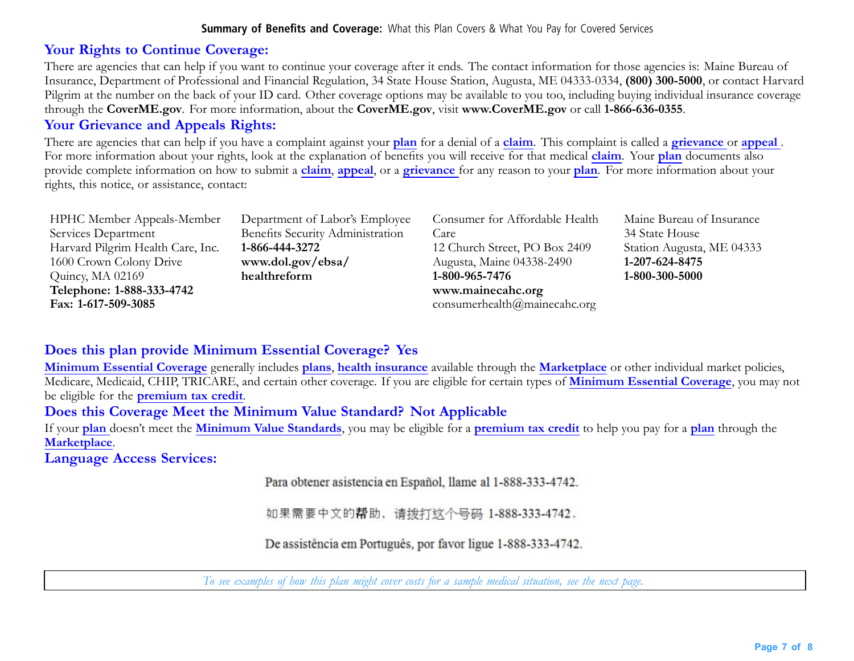## **Your Rights to Continue Coverage:**

There are agencies that can help if you want to continue your coverage after it ends. The contact information for those agencies is: Maine Bureau of Insurance, Department of Professional and Financial Regulation, 34 State House Station, Augusta, ME 04333-0334, **(800) 300-5000**, or contact Harvard Pilgrim at the number on the back of your ID card. Other coverage options may be available to you too, including buying individual insurance coverage through the **CoverME.gov**. For more information, about the **CoverME.gov**, visit **[www.CoverME.gov](https://www.coverme.gov)** or call **1-866-636-0355**.

## **Your Grievance and Appeals Rights:**

There are agencies that can help if you have <sup>a</sup> complaint against your **plan** for <sup>a</sup> denial of <sup>a</sup> **claim**. This complaint is called <sup>a</sup> **grievance** or **appeal** . For more information about your rights, look at the explanation of benefits you will receive for that medical **claim**. Your **plan** documents also provide complete information on how to submit <sup>a</sup> **claim**, **appeal**, or <sup>a</sup> **grievance** for any reason to your **plan**. For more information about your rights, this notice, or assistance, contact:

| HPHC Member Appeals-Member        | Department of Labor's Employee   | Consumer for Affordable Health |
|-----------------------------------|----------------------------------|--------------------------------|
| Services Department               | Benefits Security Administration | Care                           |
| Harvard Pilgrim Health Care, Inc. | 1-866-444-3272                   | 12 Church Street, PO Box 2409  |
| 1600 Crown Colony Drive           | www.dol.gov/ebsa/                | Augusta, Maine 04338-2490      |
| Quincy, MA 02169                  | healthreform                     | 1-800-965-7476                 |
| Telephone: 1-888-333-4742         |                                  | www.mainecahc.org              |
| Fax: 1-617-509-3085               |                                  | consumerhealth@mainecahc.org   |

Maine Bureau of Insurance 34 State House Station Augusta, ME 04333 **1-207-624-8475 1-800-300-5000**

# **Does this plan provide Minimum Essential Coverage? Yes**

**Minimum Essential Coverage** generally includes **plans**, **health insurance** available through the **Marketplace** or other individual market policies, Medicare, Medicaid, CHIP, TRICARE, and certain other coverage. If you are eligible for certain types of **Minimum Essential Coverage**, you may not be eligible for the **premium tax credit**.

# **Does this Coverage Meet the Minimum Value Standard? Not Applicable**

If your **plan** doesn't meet the **Minimum Value Standards**, you may be eligible for <sup>a</sup> **premium tax credit** to help you pay for <sup>a</sup> **plan** through the **Marketplace**.

**Language Access Services:**

Para obtener asistencia en Español, llame al 1-888-333-4742.

如果需要中文的帮助, 请拨打这个号码 1-888-333-4742.

De assistência em Português, por favor ligue 1-888-333-4742.

To see examples of how this plan might cover costs for a sample medical situation, see the next page.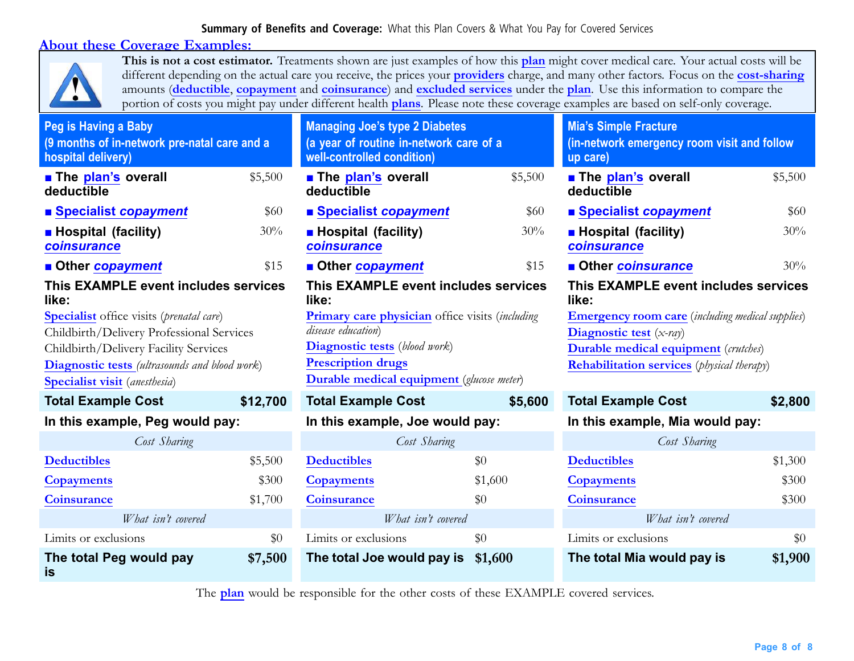### **About these Coverage Examples:**



**This is not <sup>a</sup> cost estimator.** Treatments shown are just examples of how this **plan** might cover medical care. Your actual costs will be different depending on the actual care you receive, the prices your **providers** charge, and many other factors. Focus on the **cost-sharing** amounts (**deductible**, **copayment** and **coinsurance**) and **excluded services** under the **plan**. Use this information to compare the portion of costs you might pay under different health **plans**. Please note these coverage examples are based on self-only coverage.

| Peg is Having a Baby<br>(9 months of in-network pre-natal care and a<br>hospital delivery)   |          | <b>Managing Joe's type 2 Diabetes</b><br>(a year of routine in-network care of a<br>well-controlled condition) |         | <b>Mia's Simple Fracture</b><br>(in-network emergency room visit and follow<br>up care) |         |
|----------------------------------------------------------------------------------------------|----------|----------------------------------------------------------------------------------------------------------------|---------|-----------------------------------------------------------------------------------------|---------|
| The plan's overall<br>deductible                                                             | \$5,500  | <b>The plan's overall</b><br>deductible                                                                        | \$5,500 | <b>The plan's overall</b><br>deductible                                                 | \$5,500 |
| ■ Specialist copayment                                                                       | \$60     | ■ Specialist copayment                                                                                         | \$60    | ■ Specialist copayment                                                                  | \$60    |
| <b>B</b> Hospital (facility)<br>coinsurance                                                  | 30%      | <b>Hospital (facility)</b><br>coinsurance                                                                      | 30%     | <b>Hospital (facility)</b><br>coinsurance                                               | 30%     |
| <b>Other copayment</b>                                                                       | \$15     | ■ Other copayment                                                                                              | \$15    | <b>Other coinsurance</b>                                                                | 30%     |
| This EXAMPLE event includes services<br>like:                                                |          | This EXAMPLE event includes services<br>like:                                                                  |         | This EXAMPLE event includes services<br>like:                                           |         |
| <b>Specialist</b> office visits ( <i>prenatal care</i> )                                     |          | <b>Primary care physician</b> office visits (including                                                         |         | <b>Emergency room care</b> (including medical supplies)                                 |         |
| Childbirth/Delivery Professional Services                                                    |          | disease education)                                                                                             |         | Diagnostic test $(x-ray)$                                                               |         |
| Childbirth/Delivery Facility Services                                                        |          | <b>Diagnostic tests</b> (blood work)                                                                           |         | <b>Durable medical equipment</b> (crutches)                                             |         |
| <b>Diagnostic tests</b> (ultrasounds and blood work)<br><b>Specialist visit</b> (anesthesia) |          | <b>Prescription drugs</b><br><b>Durable medical equipment</b> (glucose meter)                                  |         | <b>Rehabilitation services</b> ( <i>physical therapy</i> )                              |         |
| <b>Total Example Cost</b>                                                                    | \$12,700 | <b>Total Example Cost</b>                                                                                      | \$5,600 | <b>Total Example Cost</b>                                                               | \$2,800 |
| In this example, Peg would pay:                                                              |          | In this example, Joe would pay:                                                                                |         | In this example, Mia would pay:                                                         |         |
| Cost Sharing                                                                                 |          | Cost Sharing                                                                                                   |         | Cost Sharing                                                                            |         |
| <b>Deductibles</b>                                                                           | \$5,500  | <b>Deductibles</b>                                                                                             | \$0     | <b>Deductibles</b>                                                                      | \$1,300 |
| <b>Copayments</b>                                                                            | \$300    | <b>Copayments</b>                                                                                              | \$1,600 | <b>Copayments</b>                                                                       | \$300   |
| <b>Coinsurance</b>                                                                           | \$1,700  | <b>Coinsurance</b>                                                                                             | \$0     | <b>Coinsurance</b>                                                                      | \$300   |
| What isn't covered                                                                           |          | What isn't covered                                                                                             |         | What isn't covered                                                                      |         |
| Limits or exclusions                                                                         | \$0      | Limits or exclusions                                                                                           | \$0     | Limits or exclusions                                                                    | \$0     |
| The total Peg would pay<br>is                                                                | \$7,500  | The total Joe would pay is                                                                                     | \$1,600 | The total Mia would pay is                                                              | \$1,900 |

The **plan** would be responsible for the other costs of these EXAMPLE covered services.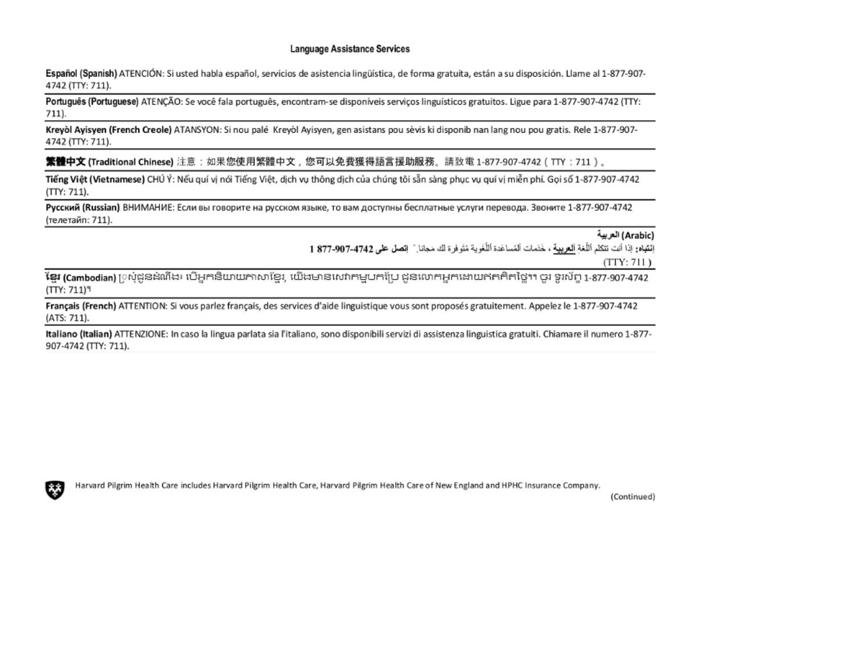#### Language Assistance Services

Español (Spanish) ATENCIÓN: Si usted habla español, servicios de asistencia lingüística, de forma gratuita, están a su disposición. Llame al 1-877-907-4742 (TTY: 711).

Português (Portuguese) ATENÇÃO: Se você fala português, encontram-se disponíveis serviços linguísticos gratuitos. Ligue para 1-877-907-4742 (TTY:  $711.$ 

Kreyol Ayisyen (French Creole) ATANSYON: Si nou palé Kreyol Ayisyen, gen asistans pou sèvis ki disponib nan lang nou pou gratis. Rele 1-877-907-4742 (TTY: 711).

**繁體中文 (Traditional Chinese)** 注意:如果您使用繁體中文,您可以免費獲得語言援助服務。請致電 1-877-907-4742(TTY:711)。

Tiếng Việt (Vietnamese) CHÚ Ý: Nếu quí vị nói Tiếng Việt, dịch vụ thông dịch của chúng tôi sẵn sàng phục vụ quí vị miễn phí. Gọi số 1-877-907-4742 (TTY: 711).

Русский (Russian) ВНИМАНИЕ: Если вы говорите на русском языке, то вам доступны бесплатные услуги перевода. Звоните 1-877-907-4742 (телетайп: 711).

#### (Arabic) العربية

إِنْقِيَاهِ: إِذَا أَنْتَ تَتَكَلَّمَ الْلُغَةِ ٱلْعَرِيقِةَ ، خَدَمَاتَ الْمُسَاعَدَةِ ٱللَّغْوِيةِ مُتَوفِرة لك مَجانا ِ ً إِنْصَلِ عَلَى 4742-907-377 1

 $(TTY: 711)$ 

ັ**ເຊຍ (Cambodian)** [) សុំដួនដំណឹង៖ បើអ្នកនិយាយភាសាខ្មែរ, យើងមានសេវាកម្មបកប្រែ ដួនលោកអ្នកដោយឥតគិតថ្លៃ។។ ចូរ ទូរស័ព្ទ 1-877-907-4742 (TTY: 711)<sup>9</sup>

Français (French) ATTENTION: Si vous parlez français, des services d'aide linguistique vous sont proposés gratuitement. Appelez le 1-877-907-4742 (ATS: 711).

Italiano (Italian) ATTENZIONE: In caso la lingua parlata sia l'italiano, sono disponibili servizi di assistenza linguistica gratuiti. Chiamare il numero 1-877-907-4742 (TTY: 711).



Harvard Pilgrim Health Care includes Harvard Pilgrim Health Care, Harvard Pilgrim Health Care of New England and HPHC Insurance Company.

(Continued)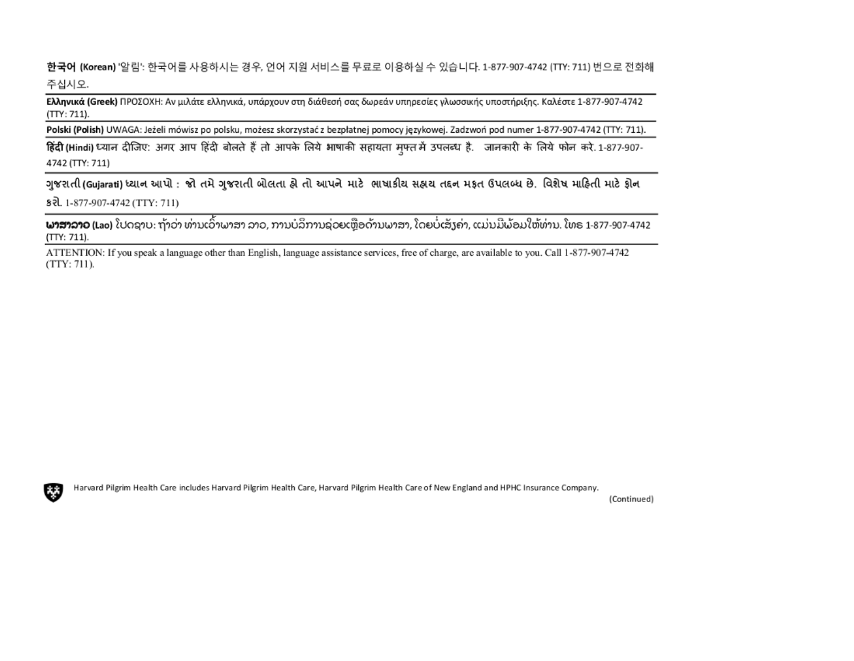**한국어 (Korean)** '알림': 한국어를 사용하시는 경우, 언어 지원 서비스를 무료로 이용하실 수 있습니다. 1-877-907-4742 (TTY: 711) 번으로 전화해 주십시오.

Ελληνικά (Greek) ΠΡΟΣΟΧΗ: Αν μιλάτε ελληνικά, υπάρχουν στη διάθεσή σας δωρεάν υπηρεσίες γλωσσικής υποστήριξης. Καλέστε 1-877-907-4742 (TTY: 711).

Polski (Polish) UWAGA: Jeżeli mówisz po polsku, możesz skorzystać z bezpłatnej pomocy językowej. Zadzwoń pod numer 1-877-907-4742 (TTY: 711).

हिंदी (Hindi) ध्यान दीजिए: अगर आप हिंदी बोलते हैं तो आपके लिये भाषाकी सहायता मुफ्त में उपलब्ध है. जानकारी के लिये फोन करे. 1-877-907-4742 (TTY: 711)

ગુજરાતી(Gujarati) ધ્યાન આપો : જો તમે ગુજરાતી બોલતા હો તો આપને માટે ભાષાકીય સહ્યય તદ્દન મકૃત ઉપલબ્ધ છે. વિશેષ માહિતી માટે ફોન s रो. 1-877-907-4742 (TTY: 711)

**ພາສາລາວ (L**ao) ໂປດຊາບ: ຖ້າວ່າ ທ່ານເວົ້າພາສາ ລາວ, ການບໍລິການຊ່ວຍເຫຼືອດ້ານພາສາ, ໂດຍບໍ່ເສັງຄ່າ, ແມ່ນມີພ້ອມໃຫ້ທ່ານ. ໂທຣ 1-877-907-4742  $(TTY: 711).$ 

ATTENTION: If you speak a language other than English, language assistance services, free of charge, are available to you. Call 1-877-907-4742  $(TTY: 711)$ .



Harvard Pilgrim Health Care includes Harvard Pilgrim Health Care, Harvard Pilgrim Health Care of New England and HPHC Insurance Company.

(Continued)